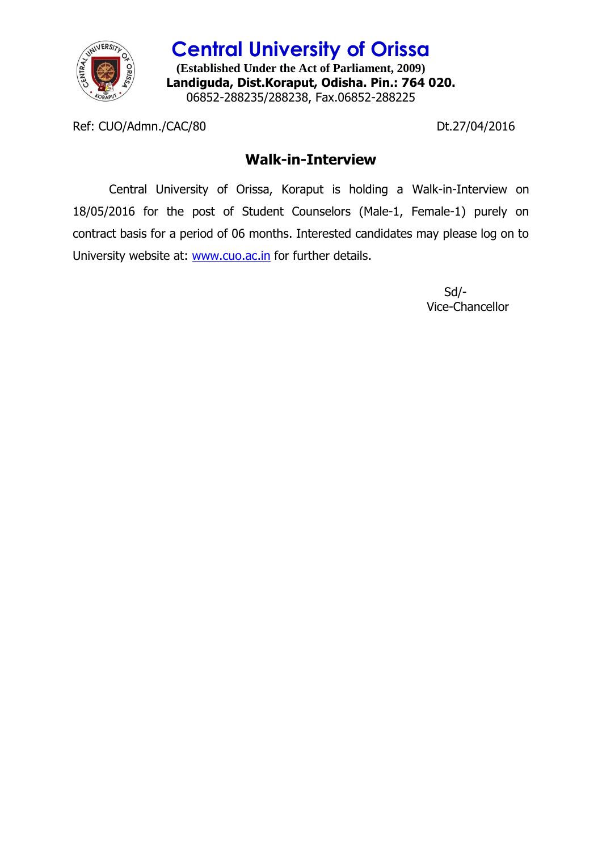

**Central University of Orissa (Established Under the Act of Parliament, 2009) Landiguda, Dist.Koraput, Odisha. Pin.: 764 020.** 06852-288235/288238, Fax.06852-288225

Ref: CUO/Admn./CAC/80 Dt.27/04/2016

## **Walk-in-Interview**

Central University of Orissa, Koraput is holding a Walk-in-Interview on 18/05/2016 for the post of Student Counselors (Male-1, Female-1) purely on contract basis for a period of 06 months. Interested candidates may please log on to University website at: [www.cuo.ac.in](http://www.cuo.ac.in/) for further details.

> Sd/- Vice-Chancellor